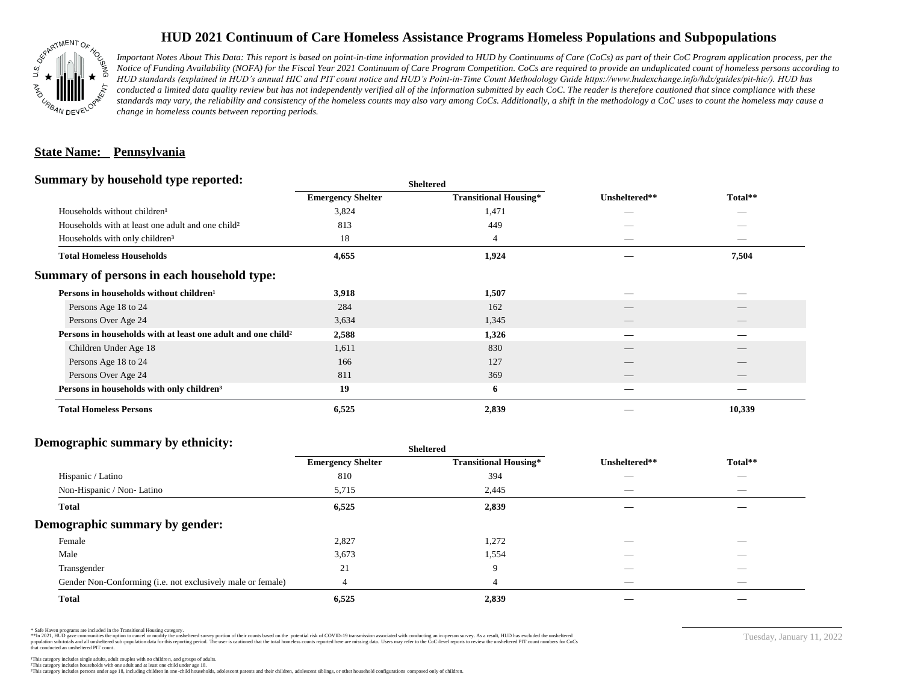

# **HUD 2021 Continuum of Care Homeless Assistance Programs Homeless Populations and Subpopulations**

*Important Notes About This Data: This report is based on point-in-time information provided to HUD by Continuums of Care (CoCs) as part of their CoC Program application process, per the Notice of Funding Availability (NOFA) for the Fiscal Year 2021 Continuum of Care Program Competition. CoCs are required to provide an unduplicated count of homeless persons according to HUD standards (explained in HUD's annual HIC and PIT count notice and HUD's Point-in-Time Count Methodology Guide https://www.hudexchange.info/hdx/guides/pit-hic/). HUD has*  conducted a limited data quality review but has not independently verified all of the information submitted by each CoC. The reader is therefore cautioned that since compliance with these standards may vary, the reliability and consistency of the homeless counts may also vary among CoCs. Additionally, a shift in the methodology a CoC uses to count the homeless may cause a *change in homeless counts between reporting periods.*

## **State Name: Pennsylvania**

## **Summary by household type reported:**

|                                                                                   |                              | Unsheltered**            |                                |  |
|-----------------------------------------------------------------------------------|------------------------------|--------------------------|--------------------------------|--|
| <b>Emergency Shelter</b>                                                          | <b>Transitional Housing*</b> |                          | Total**                        |  |
| 3,824                                                                             | 1,471                        |                          |                                |  |
| 813                                                                               | 449                          |                          |                                |  |
| 18                                                                                | 4                            |                          | $\overbrace{\hspace{25mm}}^{}$ |  |
| 4,655                                                                             | 1,924                        |                          | 7,504                          |  |
|                                                                                   |                              |                          |                                |  |
| 3,918                                                                             | 1,507                        |                          |                                |  |
| 284                                                                               | 162                          |                          |                                |  |
| 3,634                                                                             | 1,345                        | $\overline{\phantom{a}}$ | $\qquad \qquad$                |  |
| Persons in households with at least one adult and one child <sup>2</sup><br>2,588 | 1,326                        |                          |                                |  |
| 1,611                                                                             | 830                          |                          |                                |  |
| 166                                                                               | 127                          |                          |                                |  |
| 811                                                                               | 369                          |                          |                                |  |
| 19                                                                                | 6                            |                          |                                |  |
| 6,525                                                                             | 2,839                        |                          | 10,339                         |  |
|                                                                                   |                              | <b>Sheltered</b>         |                                |  |

#### **Demographic summary by ethnicity:**

|                                                             | <b>Sheltered</b>         |                              |                          |                          |  |
|-------------------------------------------------------------|--------------------------|------------------------------|--------------------------|--------------------------|--|
|                                                             | <b>Emergency Shelter</b> | <b>Transitional Housing*</b> | Unsheltered**            | Total**                  |  |
| Hispanic / Latino                                           | 810                      | 394                          | __                       | $\overline{\phantom{a}}$ |  |
| Non-Hispanic / Non-Latino                                   | 5,715                    | 2,445                        |                          |                          |  |
| <b>Total</b>                                                | 6,525                    | 2,839                        |                          |                          |  |
| Demographic summary by gender:                              |                          |                              |                          |                          |  |
| Female                                                      | 2,827                    | 1,272                        | _                        | _                        |  |
| Male                                                        | 3,673                    | 1,554                        |                          |                          |  |
| Transgender                                                 | 21                       | 9                            |                          | $\sim$                   |  |
| Gender Non-Conforming (i.e. not exclusively male or female) |                          | 4                            | $\overline{\phantom{a}}$ | $\overline{\phantom{a}}$ |  |
| <b>Total</b>                                                | 6,525                    | 2,839                        |                          |                          |  |

\* Safe Haven programs are included in the Transitional Housing category.

\*\*In 2021, HUD gave communities the option to cancel or modify the unsheltered survey portion of their counts based on the potential risk of COVID-19 transmission associated with conducting an in-person survey. As a result n political and distribution of the resort in the constant of the experimental and the constant of the constant of the constant of the constant of the constant of the constant of the constant of the constant of the constan that conducted an unsheltered PIT count.

Tuesday, January 11, 2022